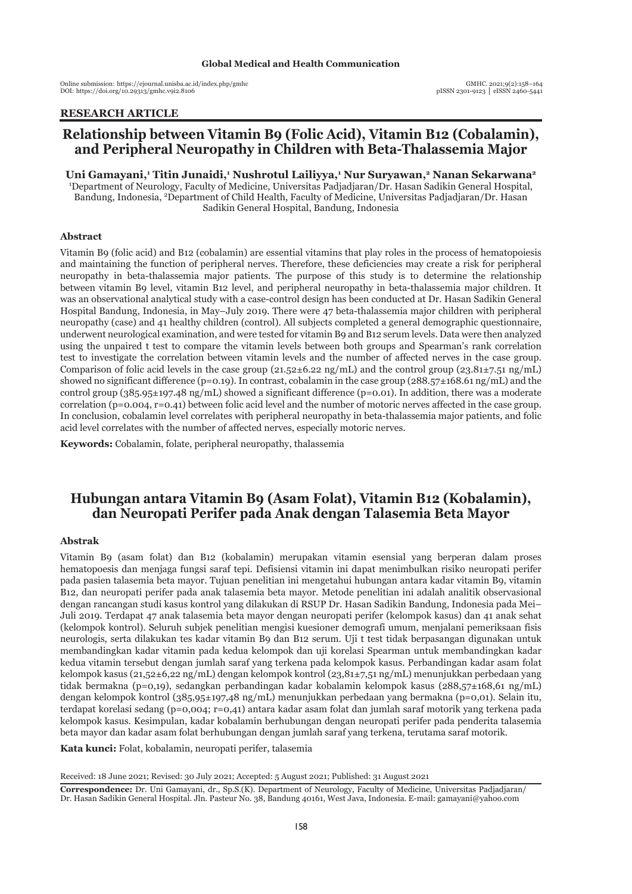Online submission: https://ejournal.unisba.ac.id/index.php/gmhc DOI: pISSN 2301-9123 │ eISSN 2460-5441 https://doi.org/10.29313/gmhc.v9i2.8106

## **RESEARCH ARTICLE**

# **Relationship between Vitamin B9 (Folic Acid), Vitamin B12 (Cobalamin), and Peripheral Neuropathy in Children with Beta-Thalassemia Major**

Uni Gamayani,<sup>1</sup> Titin Junaidi,<sup>1</sup> Nushrotul Lailiyya,<sup>1</sup> Nur Suryawan,<sup>2</sup> Nanan Sekarwana<sup>2</sup> 1 Department of Neurology, Faculty of Medicine, Universitas Padjadjaran/Dr. Hasan Sadikin General Hospital, Bandung, Indonesia, 2 Department of Child Health, Faculty of Medicine, Universitas Padjadjaran/Dr. Hasan Sadikin General Hospital, Bandung, Indonesia

### **Abstract**

Vitamin B9 (folic acid) and B12 (cobalamin) are essential vitamins that play roles in the process of hematopoiesis and maintaining the function of peripheral nerves. Therefore, these deficiencies may create a risk for peripheral neuropathy in beta-thalassemia major patients. The purpose of this study is to determine the relationship between vitamin B9 level, vitamin B12 level, and peripheral neuropathy in beta-thalassemia major children. It was an observational analytical study with a case-control design has been conducted at Dr. Hasan Sadikin General Hospital Bandung, Indonesia, in May–July 2019. There were 47 beta-thalassemia major children with peripheral neuropathy (case) and 41 healthy children (control). All subjects completed a general demographic questionnaire, underwent neurological examination, and were tested for vitamin B9 and B12 serum levels. Data were then analyzed using the unpaired t test to compare the vitamin levels between both groups and Spearman's rank correlation test to investigate the correlation between vitamin levels and the number of affected nerves in the case group. Comparison of folic acid levels in the case group  $(21.52\pm6.22 \text{ ng/mL})$  and the control group  $(23.81\pm7.51 \text{ ng/mL})$ showed no significant difference (p=0.19). In contrast, cobalamin in the case group ( $288.57\pm168.61$  ng/mL) and the control group  $(385.95\pm 197.48 \text{ ng/mL})$  showed a significant difference (p=0.01). In addition, there was a moderate correlation (p=0.004, r=0.41) between folic acid level and the number of motoric nerves affected in the case group. In conclusion, cobalamin level correlates with peripheral neuropathy in beta-thalassemia major patients, and folic acid level correlates with the number of affected nerves, especially motoric nerves.

**Keywords:** Cobalamin, folate, peripheral neuropathy, thalassemia

## **Hubungan antara Vitamin B9 (Asam Folat), Vitamin B12 (Kobalamin), dan Neuropati Perifer pada Anak dengan Talasemia Beta Mayor**

### **Abstrak**

Vitamin B9 (asam folat) dan B12 (kobalamin) merupakan vitamin esensial yang berperan dalam proses hematopoesis dan menjaga fungsi saraf tepi. Defisiensi vitamin ini dapat menimbulkan risiko neuropati perifer pada pasien talasemia beta mayor. Tujuan penelitian ini mengetahui hubungan antara kadar vitamin B9, vitamin B12, dan neuropati perifer pada anak talasemia beta mayor. Metode penelitian ini adalah analitik observasional dengan rancangan studi kasus kontrol yang dilakukan di RSUP Dr. Hasan Sadikin Bandung, Indonesia pada Mei– Juli 2019. Terdapat 47 anak talasemia beta mayor dengan neuropati perifer (kelompok kasus) dan 41 anak sehat (kelompok kontrol). Seluruh subjek penelitian mengisi kuesioner demografi umum, menjalani pemeriksaan fisis neurologis, serta dilakukan tes kadar vitamin B9 dan B12 serum. Uji t test tidak berpasangan digunakan untuk membandingkan kadar vitamin pada kedua kelompok dan uji korelasi Spearman untuk membandingkan kadar kedua vitamin tersebut dengan jumlah saraf yang terkena pada kelompok kasus. Perbandingan kadar asam folat kelompok kasus (21,52±6,22 ng/mL) dengan kelompok kontrol (23,81±7,51 ng/mL) menunjukkan perbedaan yang tidak bermakna (p=0,19), sedangkan perbandingan kadar kobalamin kelompok kasus (288,57±168,61 ng/mL) dengan kelompok kontrol (385,95±197,48 ng/mL) menunjukkan perbedaan yang bermakna (p=0,01). Selain itu, terdapat korelasi sedang (p=0,004; r=0,41) antara kadar asam folat dan jumlah saraf motorik yang terkena pada kelompok kasus. Kesimpulan, kadar kobalamin berhubungan dengan neuropati perifer pada penderita talasemia beta mayor dan kadar asam folat berhubungan dengan jumlah saraf yang terkena, terutama saraf motorik.

**Kata kunci:** Folat, kobalamin, neuropati perifer, talasemia

Received: 18 June 2021; Revised: 30 July 2021; Accepted: 5 August 2021; Published: 31 August 2021

**Correspondence:** Dr. Uni Gamayani, dr., Sp.S.(K). Department of Neurology, Faculty of Medicine, Universitas Padjadjaran/ Dr. Hasan Sadikin General Hospital. Jln. Pasteur No. 38, Bandung 40161, West Java, Indonesia. E-mail: gamayani@yahoo.com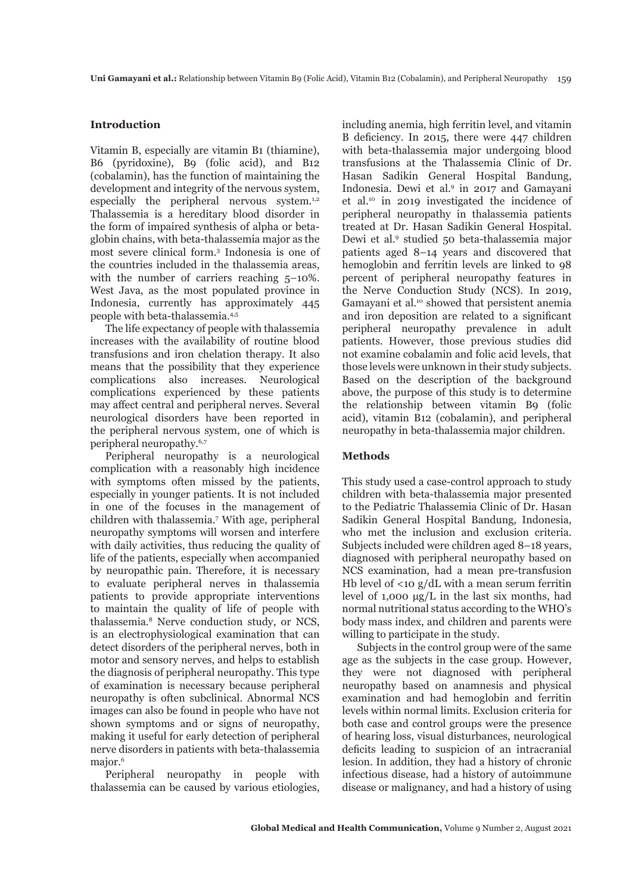#### **Introduction**

Vitamin B, especially are vitamin B1 (thiamine), B6 (pyridoxine), B9 (folic acid), and B12 (cobalamin), has the function of maintaining the development and integrity of the nervous system, especially the peripheral nervous system.<sup>1,2</sup> Thalassemia is a hereditary blood disorder in the form of impaired synthesis of alpha or betaglobin chains, with beta-thalassemia major as the most severe clinical form.3 Indonesia is one of the countries included in the thalassemia areas, with the number of carriers reaching  $5-10\%$ . West Java, as the most populated province in Indonesia, currently has approximately 445 people with beta-thalassemia.4,5

The life expectancy of people with thalassemia increases with the availability of routine blood transfusions and iron chelation therapy. It also means that the possibility that they experience complications also increases. Neurological complications experienced by these patients may affect central and peripheral nerves. Several neurological disorders have been reported in the peripheral nervous system, one of which is peripheral neuropathy.6,7

Peripheral neuropathy is a neurological complication with a reasonably high incidence with symptoms often missed by the patients, especially in younger patients. It is not included in one of the focuses in the management of children with thalassemia.<sup>7</sup> With age, peripheral neuropathy symptoms will worsen and interfere with daily activities, thus reducing the quality of life of the patients, especially when accompanied by neuropathic pain. Therefore, it is necessary to evaluate peripheral nerves in thalassemia patients to provide appropriate interventions to maintain the quality of life of people with thalassemia.8 Nerve conduction study, or NCS, is an electrophysiological examination that can detect disorders of the peripheral nerves, both in motor and sensory nerves, and helps to establish the diagnosis of peripheral neuropathy. This type of examination is necessary because peripheral neuropathy is often subclinical. Abnormal NCS images can also be found in people who have not shown symptoms and or signs of neuropathy, making it useful for early detection of peripheral nerve disorders in patients with beta-thalassemia major.<sup>6</sup>

Peripheral neuropathy in people with thalassemia can be caused by various etiologies,

including anemia, high ferritin level, and vitamin B deficiency. In 2015, there were 447 children with beta-thalassemia major undergoing blood transfusions at the Thalassemia Clinic of Dr. Hasan Sadikin General Hospital Bandung, Indonesia. Dewi et al.9 in 2017 and Gamayani et al.10 in 2019 investigated the incidence of peripheral neuropathy in thalassemia patients treated at Dr. Hasan Sadikin General Hospital. Dewi et al.9 studied 50 beta-thalassemia major patients aged 8–14 years and discovered that hemoglobin and ferritin levels are linked to 98 percent of peripheral neuropathy features in the Nerve Conduction Study (NCS). In 2019, Gamayani et al.<sup>10</sup> showed that persistent anemia and iron deposition are related to a significant peripheral neuropathy prevalence in adult patients. However, those previous studies did not examine cobalamin and folic acid levels, that those levels were unknown in their study subjects. Based on the description of the background above, the purpose of this study is to determine the relationship between vitamin B9 (folic acid), vitamin B12 (cobalamin), and peripheral neuropathy in beta-thalassemia major children.

#### **Methods**

This study used a case-control approach to study children with beta-thalassemia major presented to the Pediatric Thalassemia Clinic of Dr. Hasan Sadikin General Hospital Bandung, Indonesia, who met the inclusion and exclusion criteria. Subjects included were children aged 8–18 years, diagnosed with peripheral neuropathy based on NCS examination, had a mean pre-transfusion Hb level of  $\langle 10 \text{ g}/dL \text{ with a mean serum ferritin} \rangle$ level of 1,000 μg/L in the last six months, had normal nutritional status according to the WHO's body mass index, and children and parents were willing to participate in the study.

Subjects in the control group were of the same age as the subjects in the case group. However, they were not diagnosed with peripheral neuropathy based on anamnesis and physical examination and had hemoglobin and ferritin levels within normal limits. Exclusion criteria for both case and control groups were the presence of hearing loss, visual disturbances, neurological deficits leading to suspicion of an intracranial lesion. In addition, they had a history of chronic infectious disease, had a history of autoimmune disease or malignancy, and had a history of using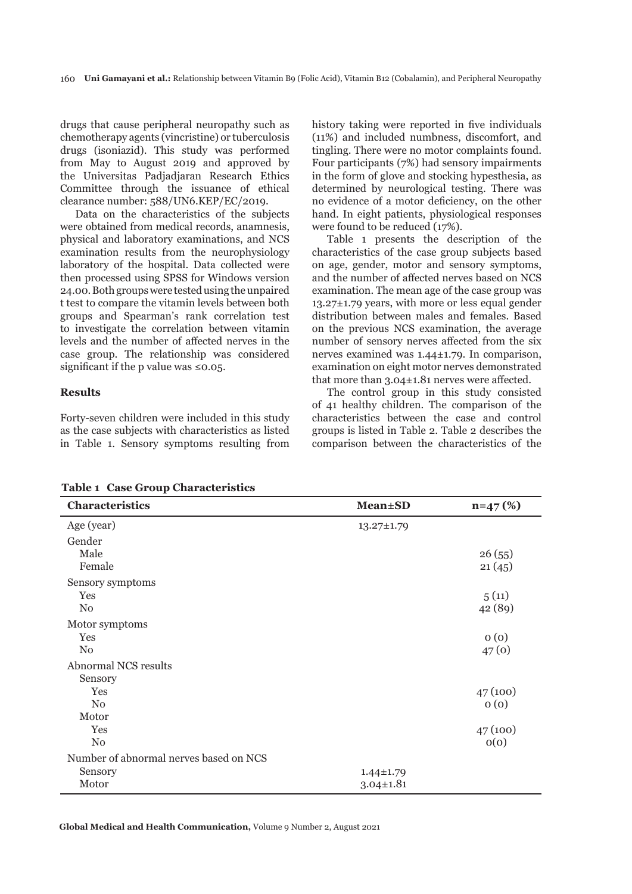drugs that cause peripheral neuropathy such as chemotherapy agents (vincristine) or tuberculosis drugs (isoniazid). This study was performed from May to August 2019 and approved by the Universitas Padjadjaran Research Ethics Committee through the issuance of ethical clearance number: 588/UN6.KEP/EC/2019.

Data on the characteristics of the subjects were obtained from medical records, anamnesis, physical and laboratory examinations, and NCS examination results from the neurophysiology laboratory of the hospital. Data collected were then processed using SPSS for Windows version 24.00. Both groups were tested using the unpaired t test to compare the vitamin levels between both groups and Spearman's rank correlation test to investigate the correlation between vitamin levels and the number of affected nerves in the case group. The relationship was considered significant if the p value was ≤0.05.

## **Results**

Forty-seven children were included in this study as the case subjects with characteristics as listed in Table 1. Sensory symptoms resulting from history taking were reported in five individuals (11%) and included numbness, discomfort, and tingling. There were no motor complaints found. Four participants (7%) had sensory impairments in the form of glove and stocking hypesthesia, as determined by neurological testing. There was no evidence of a motor deficiency, on the other hand. In eight patients, physiological responses were found to be reduced (17%).

Table 1 presents the description of the characteristics of the case group subjects based on age, gender, motor and sensory symptoms, and the number of affected nerves based on NCS examination. The mean age of the case group was 13.27±1.79 years, with more or less equal gender distribution between males and females. Based on the previous NCS examination, the average number of sensory nerves affected from the six nerves examined was 1.44±1.79. In comparison, examination on eight motor nerves demonstrated that more than 3.04±1.81 nerves were affected.

The control group in this study consisted of 41 healthy children. The comparison of the characteristics between the case and control groups is listed in Table 2. Table 2 describes the comparison between the characteristics of the

**Table 1 Case Group Characteristics** 

| <b>Characteristics</b>                 | <b>Mean</b> ±SD  | $n=47(%)$ |
|----------------------------------------|------------------|-----------|
| Age (year)                             | $13.27 \pm 1.79$ |           |
| Gender                                 |                  |           |
| Male                                   |                  | 26(55)    |
| Female                                 |                  | 21(45)    |
| Sensory symptoms                       |                  |           |
| Yes                                    |                  | 5(11)     |
| $\rm No$                               |                  | 42 (89)   |
| Motor symptoms                         |                  |           |
| Yes                                    |                  | 0(0)      |
| N <sub>0</sub>                         |                  | 47(0)     |
| <b>Abnormal NCS results</b>            |                  |           |
| Sensory                                |                  |           |
| Yes                                    |                  | 47(100)   |
| $\rm No$                               |                  | 0(0)      |
| Motor                                  |                  |           |
| Yes                                    |                  | 47(100)   |
| N <sub>0</sub>                         |                  | O(O)      |
| Number of abnormal nerves based on NCS |                  |           |
| Sensory                                | $1.44 \pm 1.79$  |           |
| Motor                                  | $3.04 \pm 1.81$  |           |

**Global Medical and Health Communication,** Volume 9 Number 2, August 2021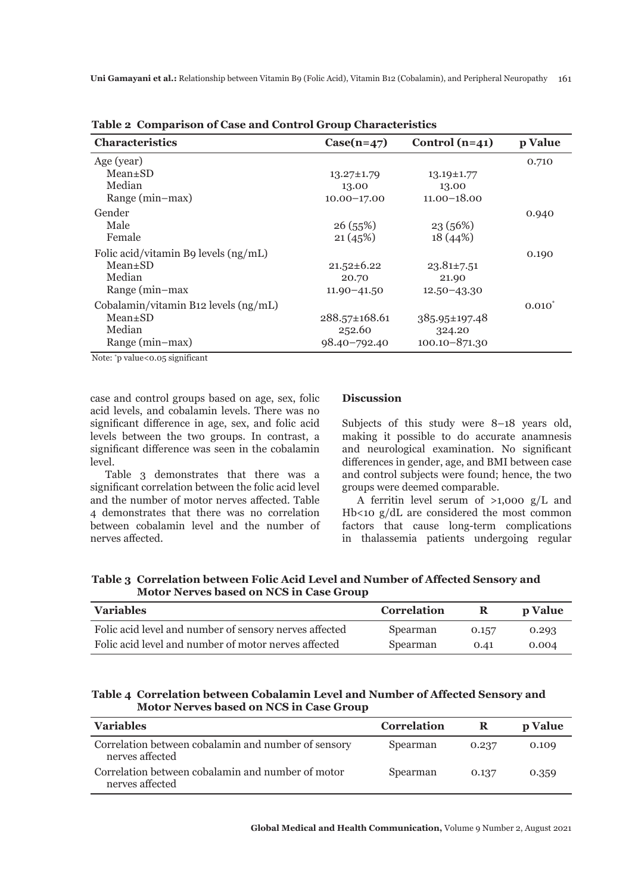| Characteristics                      | $Case(n=47)$     | Control $(n=41)$  | p Value     |
|--------------------------------------|------------------|-------------------|-------------|
| Age (year)                           |                  |                   | 0.710       |
| $Mean \pm SD$                        | $13.27 \pm 1.79$ | $13.19 \pm 1.77$  |             |
| Median                               | 13.00            | 13.00             |             |
| Range (min-max)                      | $10.00 - 17.00$  | $11.00 - 18.00$   |             |
| Gender                               |                  |                   | 0.940       |
| Male                                 | 26(55%)          | 23(56%)           |             |
| Female                               | 21(45%)          | 18 (44%)          |             |
| Folic acid/vitamin B9 levels (ng/mL) |                  |                   | 0.190       |
| $Mean \pm SD$                        | $21.52 \pm 6.22$ | $23.81 \pm 7.51$  |             |
| Median                               | 20.70            | 21.90             |             |
| Range (min-max                       | $11.90 - 41.50$  | $12.50 - 43.30$   |             |
| Cobalamin/vitamin B12 levels (ng/mL) |                  |                   | $0.010^{*}$ |
| $Mean \pm SD$                        | 288.57±168.61    | 385.95±197.48     |             |
| Median                               | 252.60           | 324.20            |             |
| Range (min-max)                      | 98.40-792.40     | $100.10 - 871.30$ |             |

**Table 2 Comparison of Case and Control Group Characteristics**

Note: \* p value<0.05 significant

case and control groups based on age, sex, folic acid levels, and cobalamin levels. There was no significant difference in age, sex, and folic acid levels between the two groups. In contrast, a significant difference was seen in the cobalamin level.

Table 3 demonstrates that there was a significant correlation between the folic acid level and the number of motor nerves affected. Table 4 demonstrates that there was no correlation between cobalamin level and the number of nerves affected.

#### **Discussion**

Subjects of this study were 8–18 years old, making it possible to do accurate anamnesis and neurological examination. No significant differences in gender, age, and BMI between case and control subjects were found; hence, the two groups were deemed comparable.

A ferritin level serum of >1,000 g/L and Hb<10 g/dL are considered the most common factors that cause long-term complications in thalassemia patients undergoing regular

**Table 3 Correlation between Folic Acid Level and Number of Affected Sensory and Motor Nerves based on NCS in Case Group** 

| <b>Variables</b>                                       | <b>Correlation</b> | ĸ.    | <b>p</b> Value |
|--------------------------------------------------------|--------------------|-------|----------------|
| Folic acid level and number of sensory nerves affected | Spearman           | 0.157 | 0.293          |
| Folic acid level and number of motor nerves affected   | Spearman           | 0.41  | 0.004          |

## **Table 4 Correlation between Cobalamin Level and Number of Affected Sensory and Motor Nerves based on NCS in Case Group**

| <b>Variables</b>                                                       | <b>Correlation</b> | R     | p Value |
|------------------------------------------------------------------------|--------------------|-------|---------|
| Correlation between cobalamin and number of sensory<br>nerves affected | Spearman           | 0.237 | 0.109   |
| Correlation between cobalamin and number of motor<br>nerves affected   | Spearman           | 0.137 | 0.359   |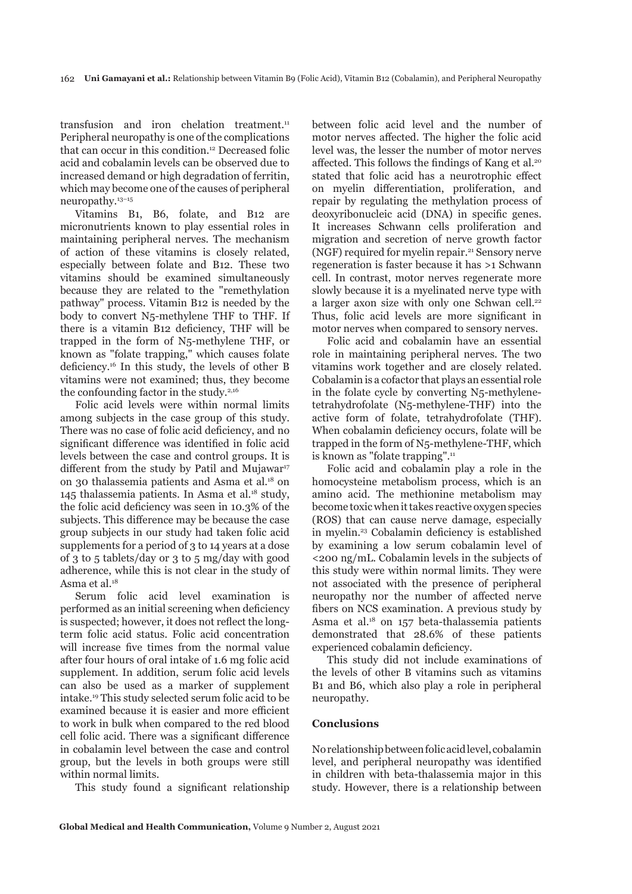transfusion and iron chelation treatment.<sup>11</sup> Peripheral neuropathy is one of the complications that can occur in this condition.<sup>12</sup> Decreased folic acid and cobalamin levels can be observed due to increased demand or high degradation of ferritin, which may become one of the causes of peripheral neuropathy.13–15

Vitamins B1, B6, folate, and B12 are micronutrients known to play essential roles in maintaining peripheral nerves. The mechanism of action of these vitamins is closely related, especially between folate and B12. These two vitamins should be examined simultaneously because they are related to the "remethylation pathway" process. Vitamin B12 is needed by the body to convert N5-methylene THF to THF. If there is a vitamin B12 deficiency, THF will be trapped in the form of N5-methylene THF, or known as "folate trapping," which causes folate deficiency.16 In this study, the levels of other B vitamins were not examined; thus, they become the confounding factor in the study. $2,16$ 

Folic acid levels were within normal limits among subjects in the case group of this study. There was no case of folic acid deficiency, and no significant difference was identified in folic acid levels between the case and control groups. It is different from the study by Patil and Mujawar<sup>17</sup> on 30 thalassemia patients and Asma et al.18 on 145 thalassemia patients. In Asma et al.18 study, the folic acid deficiency was seen in 10.3% of the subjects. This difference may be because the case group subjects in our study had taken folic acid supplements for a period of 3 to 14 years at a dose of 3 to 5 tablets/day or 3 to 5 mg/day with good adherence, while this is not clear in the study of Asma et al.<sup>18</sup>

Serum folic acid level examination is performed as an initial screening when deficiency is suspected; however, it does not reflect the longterm folic acid status. Folic acid concentration will increase five times from the normal value after four hours of oral intake of 1.6 mg folic acid supplement. In addition, serum folic acid levels can also be used as a marker of supplement intake.19 This study selected serum folic acid to be examined because it is easier and more efficient to work in bulk when compared to the red blood cell folic acid. There was a significant difference in cobalamin level between the case and control group, but the levels in both groups were still within normal limits.

This study found a significant relationship

between folic acid level and the number of motor nerves affected. The higher the folic acid level was, the lesser the number of motor nerves affected. This follows the findings of Kang et al.<sup>20</sup> stated that folic acid has a neurotrophic effect on myelin differentiation, proliferation, and repair by regulating the methylation process of deoxyribonucleic acid (DNA) in specific genes. It increases Schwann cells proliferation and migration and secretion of nerve growth factor (NGF) required for myelin repair.21 Sensory nerve regeneration is faster because it has >1 Schwann cell. In contrast, motor nerves regenerate more slowly because it is a myelinated nerve type with a larger axon size with only one Schwan cell.<sup>22</sup> Thus, folic acid levels are more significant in motor nerves when compared to sensory nerves.

Folic acid and cobalamin have an essential role in maintaining peripheral nerves. The two vitamins work together and are closely related. Cobalamin is a cofactor that plays an essential role in the folate cycle by converting N5-methylenetetrahydrofolate (N5-methylene-THF) into the active form of folate, tetrahydrofolate (THF). When cobalamin deficiency occurs, folate will be trapped in the form of N5-methylene-THF, which is known as "folate trapping".<sup>11</sup>

Folic acid and cobalamin play a role in the homocysteine metabolism process, which is an amino acid. The methionine metabolism may become toxic when it takes reactive oxygen species (ROS) that can cause nerve damage, especially in myelin.23 Cobalamin deficiency is established by examining a low serum cobalamin level of <200 ng/mL. Cobalamin levels in the subjects of this study were within normal limits. They were not associated with the presence of peripheral neuropathy nor the number of affected nerve fibers on NCS examination. A previous study by Asma et al.18 on 157 beta-thalassemia patients demonstrated that 28.6% of these patients experienced cobalamin deficiency.

This study did not include examinations of the levels of other B vitamins such as vitamins B1 and B6, which also play a role in peripheral neuropathy.

#### **Conclusions**

No relationship between folic acid level, cobalamin level, and peripheral neuropathy was identified in children with beta-thalassemia major in this study. However, there is a relationship between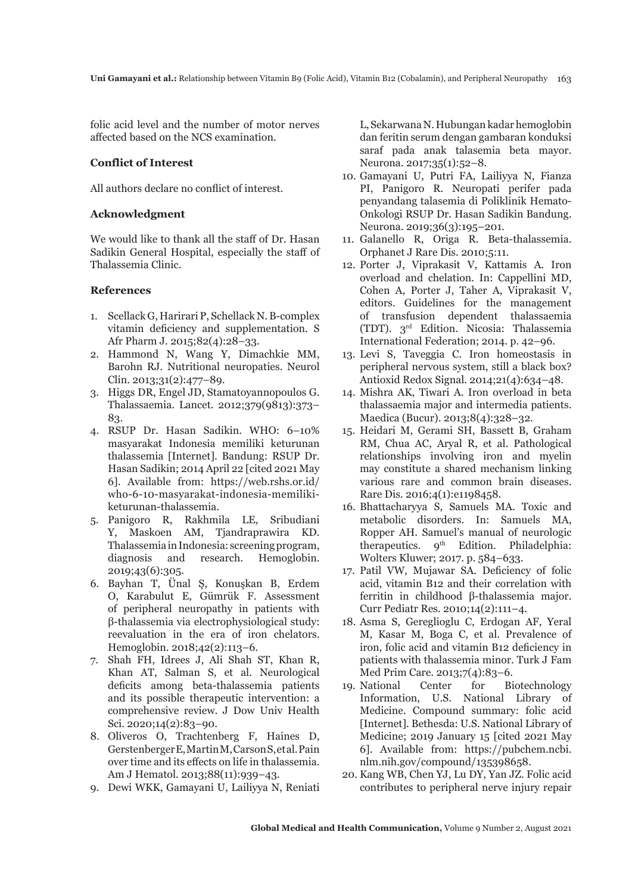folic acid level and the number of motor nerves affected based on the NCS examination.

## **Conflict of Interest**

All authors declare no conflict of interest.

## **Acknowledgment**

We would like to thank all the staff of Dr. Hasan Sadikin General Hospital, especially the staff of Thalassemia Clinic.

## **References**

- 1. Scellack G, Harirari P, Schellack N. B-complex vitamin deficiency and supplementation. S Afr Pharm J. 2015;82(4):28–33.
- 2. Hammond N, Wang Y, Dimachkie MM, Barohn RJ. Nutritional neuropaties. Neurol Clin. 2013;31(2):477–89.
- 3. Higgs DR, Engel JD, Stamatoyannopoulos G. Thalassaemia. Lancet. 2012;379(9813):373– 83.
- 4. RSUP Dr. Hasan Sadikin. WHO: 6–10% masyarakat Indonesia memiliki keturunan thalassemia [Internet]. Bandung: RSUP Dr. Hasan Sadikin; 2014 April 22 [cited 2021 May 6]. Available from: https://web.rshs.or.id/ who-6-10-masyarakat-indonesia-memilikiketurunan-thalassemia.
- 5. Panigoro R, Rakhmila LE, Sribudiani Y, Maskoen AM, Tjandraprawira KD. Thalassemia in Indonesia: screening program, diagnosis and research. Hemoglobin. 2019;43(6):305.
- 6. Bayhan T, Ünal Ş, Konuşkan B, Erdem O, Karabulut E, Gümrük F. Assessment of peripheral neuropathy in patients with β-thalassemia via electrophysiological study: reevaluation in the era of iron chelators. Hemoglobin. 2018;42(2):113–6.
- 7. Shah FH, Idrees J, Ali Shah ST, Khan R, Khan AT, Salman S, et al. Neurological deficits among beta-thalassemia patients and its possible therapeutic intervention: a comprehensive review. J Dow Univ Health Sci. 2020;14(2):83–90.
- 8. Oliveros O, Trachtenberg F, Haines D, Gerstenberger E, Martin M, Carson S, et al. Pain over time and its effects on life in thalassemia. Am J Hematol. 2013;88(11):939–43.
- 9. Dewi WKK, Gamayani U, Lailiyya N, Reniati

L, Sekarwana N. Hubungan kadar hemoglobin dan feritin serum dengan gambaran konduksi saraf pada anak talasemia beta mayor. Neurona. 2017;35(1):52–8.

- 10. Gamayani U, Putri FA, Lailiyya N, Fianza PI, Panigoro R. Neuropati perifer pada penyandang talasemia di Poliklinik Hemato-Onkologi RSUP Dr. Hasan Sadikin Bandung. Neurona. 2019;36(3):195–201.
- 11. Galanello R, Origa R. Beta-thalassemia. Orphanet J Rare Dis. 2010;5:11.
- 12. Porter J, Viprakasit V, Kattamis A. Iron overload and chelation. In: Cappellini MD, Cohen A, Porter J, Taher A, Viprakasit V, editors. Guidelines for the management of transfusion dependent thalassaemia (TDT). 3rd Edition. Nicosia: Thalassemia International Federation; 2014. p. 42–96.
- 13. Levi S, Taveggia C. Iron homeostasis in peripheral nervous system, still a black box? Antioxid Redox Signal. 2014;21(4):634–48.
- 14. Mishra AK, Tiwari A. Iron overload in beta thalassaemia major and intermedia patients. Maedica (Bucur). 2013;8(4):328–32.
- 15. Heidari M, Gerami SH, Bassett B, Graham RM, Chua AC, Aryal R, et al. Pathological relationships involving iron and myelin may constitute a shared mechanism linking various rare and common brain diseases. Rare Dis. 2016;4(1):e1198458.
- 16. Bhattacharyya S, Samuels MA. Toxic and metabolic disorders. In: Samuels MA, Ropper AH. Samuel's manual of neurologic therapeutics.  $q^{th}$  Edition. Philadelphia: Wolters Kluwer; 2017. p. 584–633.
- 17. Patil VW, Mujawar SA. Deficiency of folic acid, vitamin B12 and their correlation with ferritin in childhood β-thalassemia major. Curr Pediatr Res. 2010;14(2):111–4.
- 18. Asma S, Gereglioglu C, Erdogan AF, Yeral M, Kasar M, Boga C, et al. Prevalence of iron, folic acid and vitamin B12 deficiency in patients with thalassemia minor. Turk J Fam Med Prim Care. 2013;7(4):83–6.
- 19. National Center for Biotechnology Information, U.S. National Library of Medicine. Compound summary: folic acid [Internet]. Bethesda: U.S. National Library of Medicine; 2019 January 15 [cited 2021 May 6]. Available from: https://pubchem.ncbi. nlm.nih.gov/compound/135398658.
- 20. Kang WB, Chen YJ, Lu DY, Yan JZ. Folic acid contributes to peripheral nerve injury repair